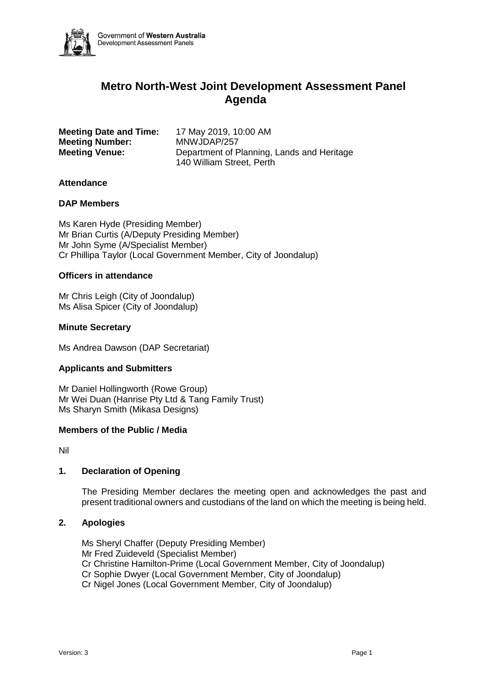

# **Metro North-West Joint Development Assessment Panel Agenda**

**Meeting Date and Time:** 17 May 2019, 10:00 AM **Meeting Number:** MNWJDAP/257

**Meeting Venue:** Department of Planning, Lands and Heritage 140 William Street, Perth

# **Attendance**

## **DAP Members**

Ms Karen Hyde (Presiding Member) Mr Brian Curtis (A/Deputy Presiding Member) Mr John Syme (A/Specialist Member) Cr Phillipa Taylor (Local Government Member, City of Joondalup)

# **Officers in attendance**

Mr Chris Leigh (City of Joondalup) Ms Alisa Spicer (City of Joondalup)

# **Minute Secretary**

Ms Andrea Dawson (DAP Secretariat)

## **Applicants and Submitters**

Mr Daniel Hollingworth (Rowe Group) Mr Wei Duan (Hanrise Pty Ltd & Tang Family Trust) Ms Sharyn Smith (Mikasa Designs)

## **Members of the Public / Media**

Nil

# **1. Declaration of Opening**

The Presiding Member declares the meeting open and acknowledges the past and present traditional owners and custodians of the land on which the meeting is being held.

## **2. Apologies**

Ms Sheryl Chaffer (Deputy Presiding Member) Mr Fred Zuideveld (Specialist Member) Cr Christine Hamilton-Prime (Local Government Member, City of Joondalup) Cr Sophie Dwyer (Local Government Member, City of Joondalup) Cr Nigel Jones (Local Government Member, City of Joondalup)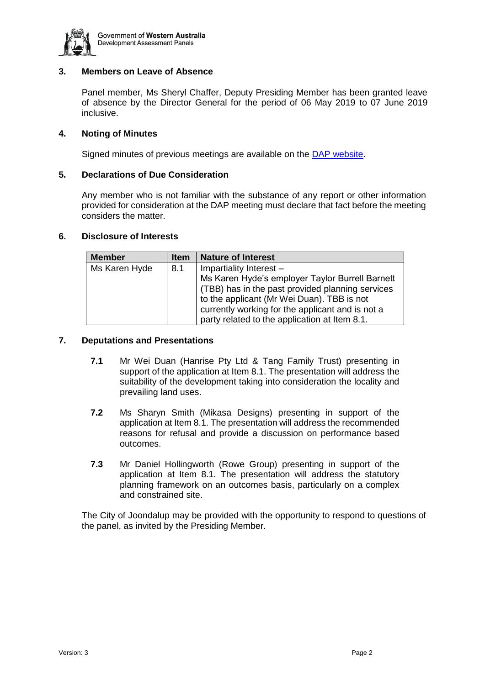

# **3. Members on Leave of Absence**

Panel member, Ms Sheryl Chaffer, Deputy Presiding Member has been granted leave of absence by the Director General for the period of 06 May 2019 to 07 June 2019 inclusive.

# **4. Noting of Minutes**

Signed minutes of previous meetings are available on the [DAP website.](https://www.dplh.wa.gov.au/about/development-assessment-panels/daps-agendas-and-minutes)

# **5. Declarations of Due Consideration**

Any member who is not familiar with the substance of any report or other information provided for consideration at the DAP meeting must declare that fact before the meeting considers the matter.

## **6. Disclosure of Interests**

| <b>Member</b> | <b>Item</b> | <b>Nature of Interest</b>                                                                                                                       |  |
|---------------|-------------|-------------------------------------------------------------------------------------------------------------------------------------------------|--|
| Ms Karen Hyde | 8.1         | Impartiality Interest -<br>Ms Karen Hyde's employer Taylor Burrell Barnett<br>(TBB) has in the past provided planning services                  |  |
|               |             | to the applicant (Mr Wei Duan). TBB is not<br>currently working for the applicant and is not a<br>party related to the application at Item 8.1. |  |

# **7. Deputations and Presentations**

- **7.1** Mr Wei Duan (Hanrise Pty Ltd & Tang Family Trust) presenting in support of the application at Item 8.1. The presentation will address the suitability of the development taking into consideration the locality and prevailing land uses.
- **7.2** Ms Sharyn Smith (Mikasa Designs) presenting in support of the application at Item 8.1. The presentation will address the recommended reasons for refusal and provide a discussion on performance based outcomes.
- **7.3** Mr Daniel Hollingworth (Rowe Group) presenting in support of the application at Item 8.1. The presentation will address the statutory planning framework on an outcomes basis, particularly on a complex and constrained site.

The City of Joondalup may be provided with the opportunity to respond to questions of the panel, as invited by the Presiding Member.